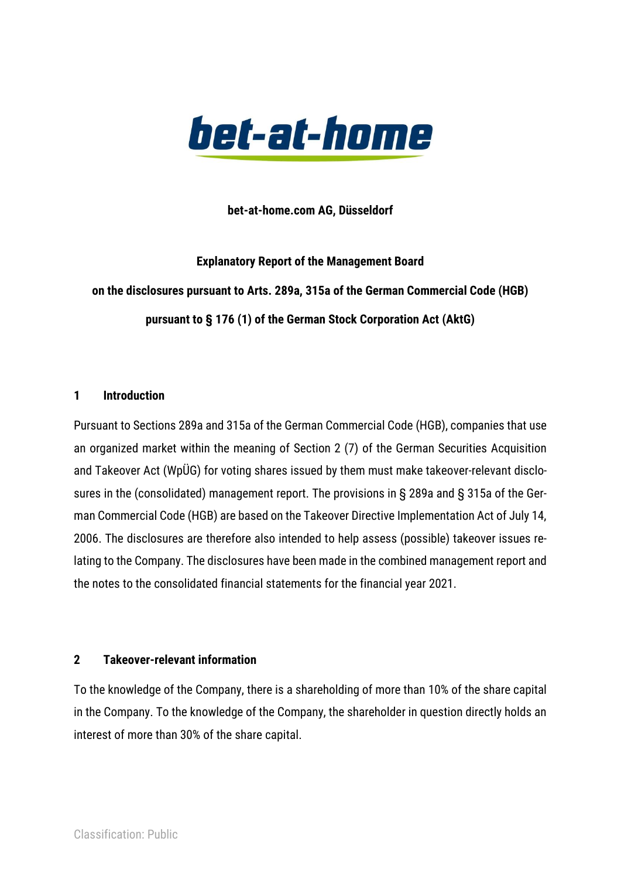

**bet-at-home.com AG, Düsseldorf**

**Explanatory Report of the Management Board on the disclosures pursuant to Arts. 289a, 315a of the German Commercial Code (HGB) pursuant to § 176 (1) of the German Stock Corporation Act (AktG)**

## **1 Introduction**

Pursuant to Sections 289a and 315a of the German Commercial Code (HGB), companies that use an organized market within the meaning of Section 2 (7) of the German Securities Acquisition and Takeover Act (WpÜG) for voting shares issued by them must make takeover-relevant disclosures in the (consolidated) management report. The provisions in § 289a and § 315a of the German Commercial Code (HGB) are based on the Takeover Directive Implementation Act of July 14, 2006. The disclosures are therefore also intended to help assess (possible) takeover issues relating to the Company. The disclosures have been made in the combined management report and the notes to the consolidated financial statements for the financial year 2021.

## **2 Takeover-relevant information**

To the knowledge of the Company, there is a shareholding of more than 10% of the share capital in the Company. To the knowledge of the Company, the shareholder in question directly holds an interest of more than 30% of the share capital.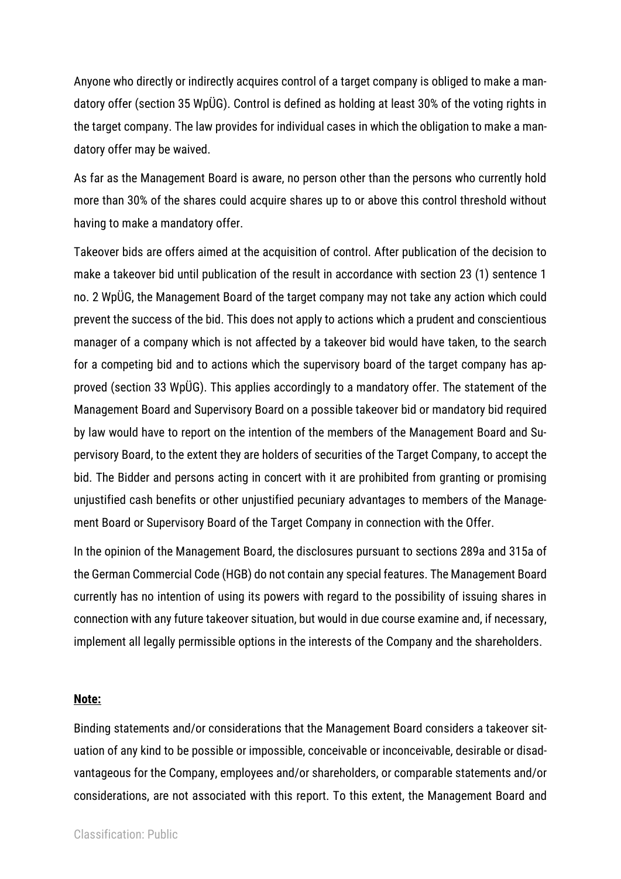Anyone who directly or indirectly acquires control of a target company is obliged to make a mandatory offer (section 35 WpÜG). Control is defined as holding at least 30% of the voting rights in the target company. The law provides for individual cases in which the obligation to make a mandatory offer may be waived.

As far as the Management Board is aware, no person other than the persons who currently hold more than 30% of the shares could acquire shares up to or above this control threshold without having to make a mandatory offer.

Takeover bids are offers aimed at the acquisition of control. After publication of the decision to make a takeover bid until publication of the result in accordance with section 23 (1) sentence 1 no. 2 WpÜG, the Management Board of the target company may not take any action which could prevent the success of the bid. This does not apply to actions which a prudent and conscientious manager of a company which is not affected by a takeover bid would have taken, to the search for a competing bid and to actions which the supervisory board of the target company has approved (section 33 WpÜG). This applies accordingly to a mandatory offer. The statement of the Management Board and Supervisory Board on a possible takeover bid or mandatory bid required by law would have to report on the intention of the members of the Management Board and Supervisory Board, to the extent they are holders of securities of the Target Company, to accept the bid. The Bidder and persons acting in concert with it are prohibited from granting or promising unjustified cash benefits or other unjustified pecuniary advantages to members of the Management Board or Supervisory Board of the Target Company in connection with the Offer.

In the opinion of the Management Board, the disclosures pursuant to sections 289a and 315a of the German Commercial Code (HGB) do not contain any special features. The Management Board currently has no intention of using its powers with regard to the possibility of issuing shares in connection with any future takeover situation, but would in due course examine and, if necessary, implement all legally permissible options in the interests of the Company and the shareholders.

## **Note:**

Binding statements and/or considerations that the Management Board considers a takeover situation of any kind to be possible or impossible, conceivable or inconceivable, desirable or disadvantageous for the Company, employees and/or shareholders, or comparable statements and/or considerations, are not associated with this report. To this extent, the Management Board and